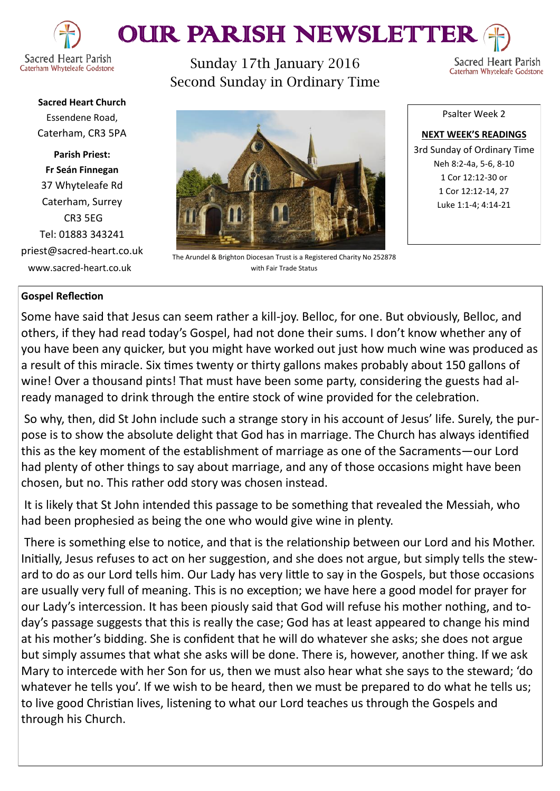

# OUR PARISH NEWSLETTEI

Sunday 17th January 2016 Second Sunday in Ordinary Time

**Sacred Heart Parish** Caterham Whyteleafe Godstone

**Sacred Heart Church** Essendene Road, Caterham, CR3 5PA

**Parish Priest: Fr Seán Finnegan** 37 Whyteleafe Rd Caterham, Surrey CR3 5EG Tel: 01883 343241 priest@sacred-heart.co.uk www.sacred-heart.co.uk

The Arundel & Brighton Diocesan Trust is a Registered Charity No 252878 with Fair Trade Status

Psalter Week 2

**NEXT WEEK'S READINGS** 3rd Sunday of Ordinary Time Neh 8:2-4a, 5-6, 8-10 1 Cor 12:12-30 or 1 Cor 12:12-14, 27 Luke 1:1-4; 4:14-21

## **Gospel Reflection**

Some have said that Jesus can seem rather a kill-joy. Belloc, for one. But obviously, Belloc, and others, if they had read today's Gospel, had not done their sums. I don't know whether any of you have been any quicker, but you might have worked out just how much wine was produced as a result of this miracle. Six times twenty or thirty gallons makes probably about 150 gallons of wine! Over a thousand pints! That must have been some party, considering the guests had already managed to drink through the entire stock of wine provided for the celebration.

So why, then, did St John include such a strange story in his account of Jesus' life. Surely, the purpose is to show the absolute delight that God has in marriage. The Church has always identified this as the key moment of the establishment of marriage as one of the Sacraments—our Lord had plenty of other things to say about marriage, and any of those occasions might have been chosen, but no. This rather odd story was chosen instead.

It is likely that St John intended this passage to be something that revealed the Messiah, who had been prophesied as being the one who would give wine in plenty.

There is something else to notice, and that is the relationship between our Lord and his Mother. Initially, Jesus refuses to act on her suggestion, and she does not argue, but simply tells the steward to do as our Lord tells him. Our Lady has very little to say in the Gospels, but those occasions are usually very full of meaning. This is no exception; we have here a good model for prayer for our Lady's intercession. It has been piously said that God will refuse his mother nothing, and today's passage suggests that this is really the case; God has at least appeared to change his mind at his mother's bidding. She is confident that he will do whatever she asks; she does not argue but simply assumes that what she asks will be done. There is, however, another thing. If we ask Mary to intercede with her Son for us, then we must also hear what she says to the steward; 'do whatever he tells you'. If we wish to be heard, then we must be prepared to do what he tells us; to live good Christian lives, listening to what our Lord teaches us through the Gospels and through his Church.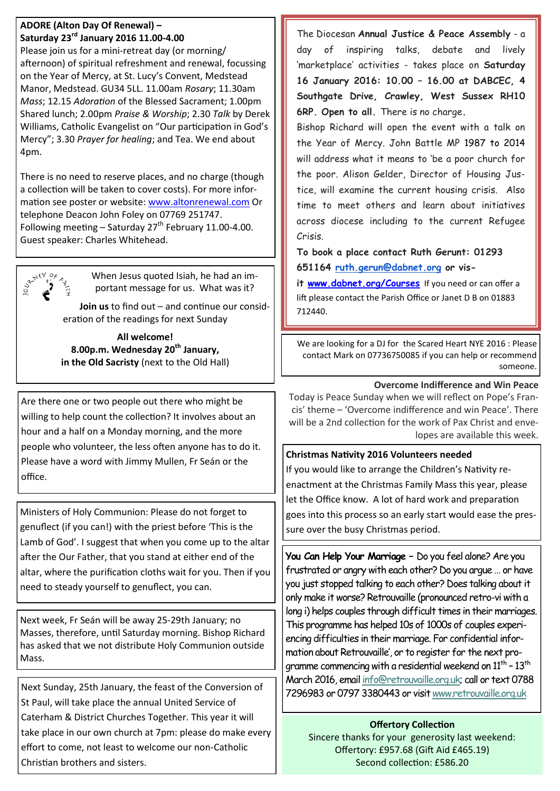#### **ADORE (Alton Day Of Renewal) – Saturday 23rd January 2016 11.00-4.00**

Please join us for a mini-retreat day (or morning/ afternoon) of spiritual refreshment and renewal, focussing on the Year of Mercy, at St. Lucy's Convent, Medstead Manor, Medstead. GU34 5LL. 11.00am *Rosary*; 11.30am *Mass*; 12.15 *Adoration* of the Blessed Sacrament; 1.00pm Shared lunch; 2.00pm *Praise & Worship*; 2.30 *Talk* by Derek Williams, Catholic Evangelist on "Our participation in God's Mercy"; 3.30 *Prayer for healing*; and Tea. We end about 4pm.

There is no need to reserve places, and no charge (though a collection will be taken to cover costs). For more information see poster or website: [www.altonrenewal.com](http://www.altonrenewal.com/) Or telephone Deacon John Foley on 07769 251747. Following meeting – Saturday  $27<sup>th</sup>$  February 11.00-4.00. Guest speaker: Charles Whitehead.



When Jesus quoted Isiah, he had an important message for us. What was it?

**Join us** to find out – and continue our consideration of the readings for next Sunday

**All welcome! 8.00p.m. Wednesday 20th January, in the Old Sacristy** (next to the Old Hall)

Are there one or two people out there who might be willing to help count the collection? It involves about an hour and a half on a Monday morning, and the more people who volunteer, the less often anyone has to do it. Please have a word with Jimmy Mullen, Fr Seán or the office.

Ministers of Holy Communion: Please do not forget to genuflect (if you can!) with the priest before 'This is the Lamb of God'. I suggest that when you come up to the altar after the Our Father, that you stand at either end of the altar, where the purification cloths wait for you. Then if you need to steady yourself to genuflect, you can.

Next week, Fr Seán will be away 25-29th January; no Masses, therefore, until Saturday morning. Bishop Richard has asked that we not distribute Holy Communion outside Mass.

Next Sunday, 25th January, the feast of the Conversion of St Paul, will take place the annual United Service of Caterham & District Churches Together. This year it will take place in our own church at 7pm: please do make every effort to come, not least to welcome our non-Catholic Christian brothers and sisters.

The Diocesan **Annual Justice & Peace Assembly** - a day of inspiring talks, debate and lively 'marketplace' activities - takes place on **Saturday 16 January 2016: 10.00 – 16.00 at DABCEC, 4 Southgate Drive, Crawley, West Sussex RH10 6RP. Open to all.** There is no charge**.** 

Bishop Richard will open the event with a talk on the Year of Mercy. John Battle MP 1987 to 2014 will address what it means to 'be a poor church for the poor. Alison Gelder, Director of Housing Justice, will examine the current housing crisis. Also time to meet others and learn about initiatives across diocese including to the current Refugee Crisis.

**To book a place contact Ruth Gerunt: 01293 651164 [ruth.gerun@dabnet.org](mailto:ruth.gerun@dabnet.org) or vis-**

**it [www.dabnet.org/Courses](http://www.dabnet.org/Courses)** If you need or can offer a lift please contact the Parish Office or Janet D B on 01883 712440.

We are looking for a DJ for the Scared Heart NYE 2016 : Please contact Mark on 07736750085 if you can help or recommend someone.

## **Overcome Indifference and Win Peace**

Today is Peace Sunday when we will reflect on Pope's Francis' theme – 'Overcome indifference and win Peace'. There will be a 2nd collection for the work of Pax Christ and envelopes are available this week.

## **Christmas Nativity 2016 Volunteers needed**

If you would like to arrange the Children's Nativity reenactment at the Christmas Family Mass this year, please let the Office know. A lot of hard work and preparation goes into this process so an early start would ease the pressure over the busy Christmas period.

**You Can Help Your Marriage –** Do you feel alone? Are you frustrated or angry with each other? Do you argue … or have you just stopped talking to each other? Does talking about it only make it worse? Retrouvaille (pronounced retro-vi with a long i) helps couples through difficult times in their marriages. This programme has helped 10s of 1000s of couples experiencing difficulties in their marriage. For confidential information about Retrouvaille', or to register for the next programme commencing with a residential weekend on  $11^{\text{th}}$  –  $13^{\text{th}}$ March 2016, email [info@retrouvaille.org.uk;](mailto:info@retrouvaille.org.uk) call or text 0788 7296983 or 0797 3380443 or visit [www.retrouvaille.org.uk](http://www.retrouvaille.org.uk)

## **Offertory Collection**

Sincere thanks for your generosity last weekend: Offertory: £957.68 (Gift Aid £465.19) Second collection: £586.20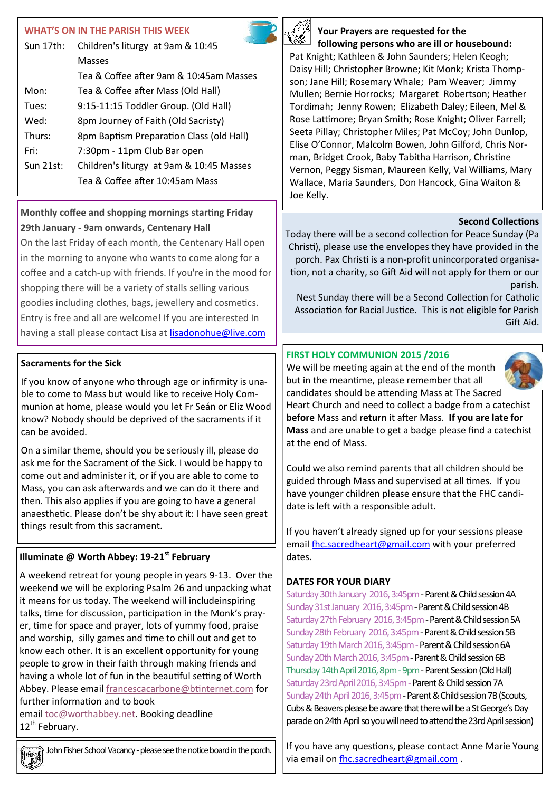## **WHAT'S ON IN THE PARISH THIS WEEK**

| Sun 17th:   | Children's liturgy at 9am & 10:45        |  |
|-------------|------------------------------------------|--|
|             | Masses                                   |  |
|             | Tea & Coffee after 9am & 10:45am Masses  |  |
| Mon:        | Tea & Coffee after Mass (Old Hall)       |  |
| Tues:       | 9:15-11:15 Toddler Group. (Old Hall)     |  |
| Wed:        | 8pm Journey of Faith (Old Sacristy)      |  |
| Thurs:      | 8pm Baptism Preparation Class (old Hall) |  |
| Fri:        | 7:30pm - 11pm Club Bar open              |  |
| $Sun$ 21st: | Children's liturgy at 9am & 10:45 Masses |  |
|             | Tea & Coffee after 10:45am Mass          |  |

## **Monthly coffee and shopping mornings starting Friday 29th January - 9am onwards, Centenary Hall**

On the last Friday of each month, the Centenary Hall open in the morning to anyone who wants to come along for a coffee and a catch-up with friends. If you're in the mood for shopping there will be a variety of stalls selling various goodies including clothes, bags, jewellery and cosmetics. Entry is free and all are welcome! If you are interested In having a stall please contact Lisa at [lisadonohue@live.com](mailto:lisadonohue@live.com)

## **Sacraments for the Sick**

If you know of anyone who through age or infirmity is unable to come to Mass but would like to receive Holy Communion at home, please would you let Fr Seán or Eliz Wood know? Nobody should be deprived of the sacraments if it can be avoided.

On a similar theme, should you be seriously ill, please do ask me for the Sacrament of the Sick. I would be happy to come out and administer it, or if you are able to come to Mass, you can ask afterwards and we can do it there and then. This also applies if you are going to have a general anaesthetic. Please don't be shy about it: I have seen great things result from this sacrament.

## **Illuminate @ Worth Abbey: 19-21st February**

A weekend retreat for young people in years 9-13. Over the weekend we will be exploring Psalm 26 and unpacking what it means for us today. The weekend will includeinspiring talks, time for discussion, participation in the Monk's prayer, time for space and prayer, lots of yummy food, praise and worship, silly games and time to chill out and get to know each other. It is an excellent opportunity for young people to grow in their faith through making friends and having a whole lot of fun in the beautiful setting of Worth Abbey. Please email [francescacarbone@btinternet.com](mailto:francescacarbone@btinternet.com) for further information and to book email [toc@worthabbey.net.](mailto:toc@worthabbey.net) Booking deadline

12<sup>th</sup> February.

John Fisher School Vacancy - please see the notice board in the porch.



#### **Your Prayers are requested for the following persons who are ill or housebound:**

Pat Knight; Kathleen & John Saunders; Helen Keogh; Daisy Hill; Christopher Browne; Kit Monk; Krista Thompson; Jane Hill; Rosemary Whale; Pam Weaver; Jimmy Mullen; Bernie Horrocks; Margaret Robertson; Heather Tordimah; Jenny Rowen; Elizabeth Daley; Eileen, Mel & Rose Lattimore; Bryan Smith; Rose Knight; Oliver Farrell; Seeta Pillay; Christopher Miles; Pat McCoy; John Dunlop, Elise O'Connor, Malcolm Bowen, John Gilford, Chris Norman, Bridget Crook, Baby Tabitha Harrison, Christine Vernon, Peggy Sisman, Maureen Kelly, Val Williams, Mary Wallace, Maria Saunders, Don Hancock, Gina Waiton & Joe Kelly.

## **Second Collections**

Today there will be a second collection for Peace Sunday (Pa Christi), please use the envelopes they have provided in the porch. Pax Christi is a non-profit unincorporated organisation, not a charity, so Gift Aid will not apply for them or our parish.

Nest Sunday there will be a Second Collection for Catholic Association for Racial Justice. This is not eligible for Parish Gift Aid.

## **FIRST HOLY COMMUNION 2015 /2016**



We will be meeting again at the end of the month but in the meantime, please remember that all candidates should be attending Mass at The Sacred Heart Church and need to collect a badge from a catechist **before** Mass and **return** it after Mass. **If you are late for Mass** and are unable to get a badge please find a catechist at the end of Mass.

Could we also remind parents that all children should be guided through Mass and supervised at all times. If you have younger children please ensure that the FHC candidate is left with a responsible adult.

If you haven't already signed up for your sessions please email [fhc.sacredheart@gmail.com](mailto:fhc.sacredheart@gmail.com) with your preferred dates.

## **DATES FOR YOUR DIARY**

Saturday 30th January 2016, 3:45pm - Parent & Child session 4A Sunday 31st January 2016, 3:45pm - Parent & Child session 4B Saturday 27th February 2016, 3:45pm - Parent & Child session 5A Sunday 28th February 2016, 3:45pm - Parent & Child session 5B Saturday 19th March 2016, 3:45pm - Parent & Child session 6A Sunday 20th March 2016, 3:45pm - Parent & Child session 6B Thursday 14th April 2016, 8pm - 9pm - Parent Session (Old Hall) Saturday 23rd April 2016, 3:45pm - Parent & Child session 7A Sunday 24th April 2016, 3:45pm - Parent & Child session 7B (Scouts, Cubs & Beavers please be aware that there will be a St George's Day parade on 24th April so you will need to attend the 23rd April session)

If you have any questions, please contact Anne Marie Young via email on [fhc.sacredheart@gmail.com](mailto:fhc.sacredheart@gmail.com) .